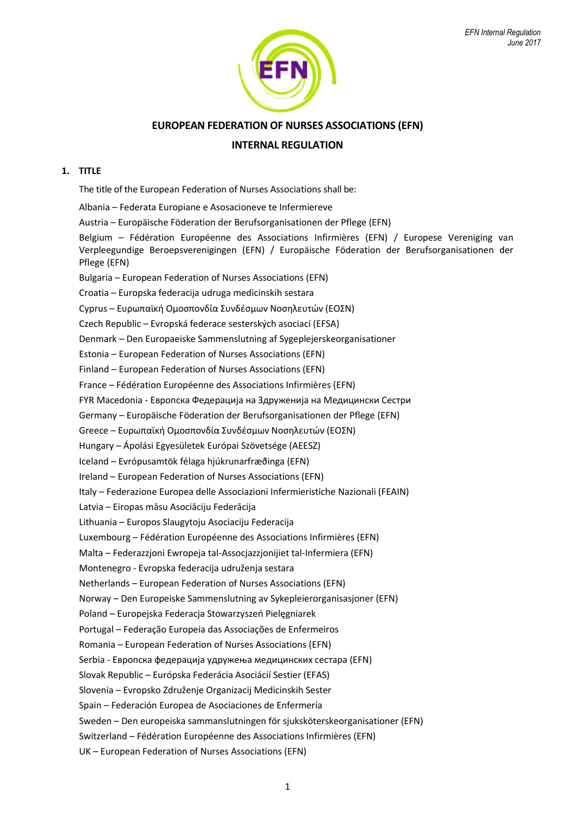

# **EUROPEAN FEDERATION OF NURSES ASSOCIATIONS (EFN)**

# **INTERNAL REGULATION**

## **1. TITLE**

The title of the European Federation of Nurses Associations shall be:

Albania – Federata Europiane e Asosacioneve te Infermiereve Austria – Europäische Föderation der Berufsorganisationen der Pflege (EFN) Belgium – Fédération Européenne des Associations Infirmières (EFN) / Europese Vereniging van Verpleegundige Beroepsverenigingen (EFN) / Europäische Föderation der Berufsorganisationen der Pflege (EFN) Bulgaria – European Federation of Nurses Associations (EFN) Croatia – Europska federacija udruga medicinskih sestara Cyprus – Ευρωπαϊκή Ομοσπονδία Συνδέσμων Νοσηλευτών (ΕΟΣΝ) Czech Republic – Evropská federace sesterských asociací (EFSA) Denmark – Den Europaeiske Sammenslutning af Sygeplejerskeorganisationer Estonia – European Federation of Nurses Associations (EFN) Finland – European Federation of Nurses Associations (EFN) France – Fédération Européenne des Associations Infirmières (EFN) FYR Macedonia - Европска Федерација на Здруженија на Медицински Сестри Germany – Europäische Föderation der Berufsorganisationen der Pflege (EFN) Greece – Ευρωπαϊκή Ομοσπονδία Συνδέσμων Νοσηλευτών (ΕΟΣΝ) Hungary – Ápolási Egyesületek Európai Szövetsége (AEESZ) Iceland – Evrópusamtök félaga hjúkrunarfræðinga (EFN) Ireland – European Federation of Nurses Associations (EFN) Italy – Federazione Europea delle Associazioni Infermieristiche Nazionali (FEAIN) Latvia – Eiropas māsu Asociāciju Federācija Lithuania – Europos Slaugytoju Asociaciju Federacija Luxembourg – Fédération Européenne des Associations Infirmières (EFN) Malta – Federazzjoni Ewropeja tal-Assocjazzjonijiet tal-Infermiera (EFN) Montenegro - Evropska federacija udruženja sestara Netherlands – European Federation of Nurses Associations (EFN) Norway – Den Europeiske Sammenslutning av Sykepleierorganisasjoner (EFN) Poland – Europejska Federacja Stowarzyszeń Pielęgniarek Portugal – Federação Europeia das Associações de Enfermeiros Romania – European Federation of Nurses Associations (EFN) Serbia - Европска федерација удружења медицинских сестара (EFN) Slovak Republic – Európska Federácia Asociácií Sestier (EFAS) Slovenia – Evropsko Združenje Organizacij Medicinskih Sester Spain – Federación Europea de Asociaciones de Enfermería Sweden – Den europeiska sammanslutningen för sjuksköterskeorganisationer (EFN) Switzerland – Fédération Européenne des Associations Infirmières (EFN) UK – European Federation of Nurses Associations (EFN)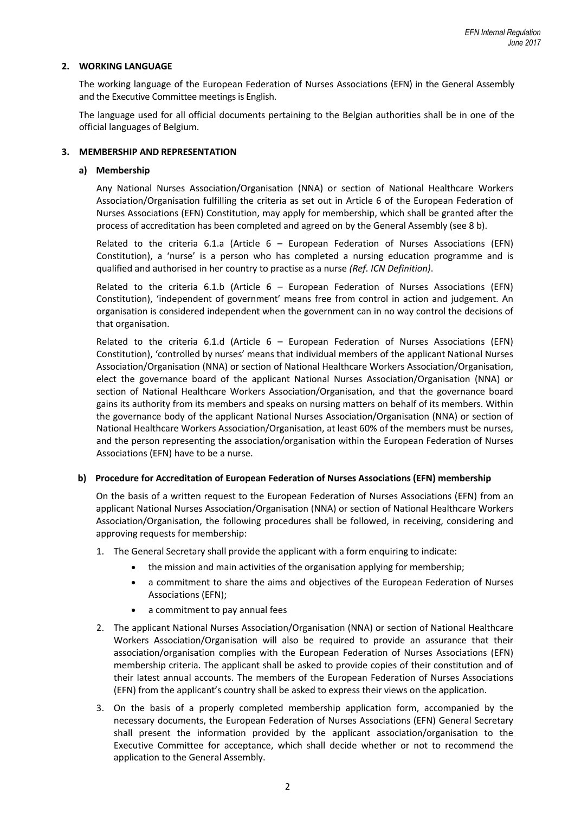## **2. WORKING LANGUAGE**

The working language of the European Federation of Nurses Associations (EFN) in the General Assembly and the Executive Committee meetings is English.

The language used for all official documents pertaining to the Belgian authorities shall be in one of the official languages of Belgium.

## **3. MEMBERSHIP AND REPRESENTATION**

## **a) Membership**

Any National Nurses Association/Organisation (NNA) or section of National Healthcare Workers Association/Organisation fulfilling the criteria as set out in Article 6 of the European Federation of Nurses Associations (EFN) Constitution, may apply for membership, which shall be granted after the process of accreditation has been completed and agreed on by the General Assembly (see 8 b).

Related to the criteria 6.1.a (Article  $6 -$  European Federation of Nurses Associations (EFN) Constitution), a 'nurse' is a person who has completed a nursing education programme and is qualified and authorised in her country to practise as a nurse *(Ref. ICN Definition)*.

Related to the criteria 6.1.b (Article  $6$  – European Federation of Nurses Associations (EFN) Constitution), 'independent of government' means free from control in action and judgement. An organisation is considered independent when the government can in no way control the decisions of that organisation.

Related to the criteria 6.1.d (Article  $6$  – European Federation of Nurses Associations (EFN) Constitution), 'controlled by nurses' means that individual members of the applicant National Nurses Association/Organisation (NNA) or section of National Healthcare Workers Association/Organisation, elect the governance board of the applicant National Nurses Association/Organisation (NNA) or section of National Healthcare Workers Association/Organisation, and that the governance board gains its authority from its members and speaks on nursing matters on behalf of its members. Within the governance body of the applicant National Nurses Association/Organisation (NNA) or section of National Healthcare Workers Association/Organisation, at least 60% of the members must be nurses, and the person representing the association/organisation within the European Federation of Nurses Associations (EFN) have to be a nurse.

### **b) Procedure for Accreditation of European Federation of Nurses Associations (EFN) membership**

On the basis of a written request to the European Federation of Nurses Associations (EFN) from an applicant National Nurses Association/Organisation (NNA) or section of National Healthcare Workers Association/Organisation, the following procedures shall be followed, in receiving, considering and approving requests for membership:

- 1. The General Secretary shall provide the applicant with a form enquiring to indicate:
	- the mission and main activities of the organisation applying for membership;
		- a commitment to share the aims and objectives of the European Federation of Nurses Associations (EFN);
		- a commitment to pay annual fees
- 2. The applicant National Nurses Association/Organisation (NNA) or section of National Healthcare Workers Association/Organisation will also be required to provide an assurance that their association/organisation complies with the European Federation of Nurses Associations (EFN) membership criteria. The applicant shall be asked to provide copies of their constitution and of their latest annual accounts. The members of the European Federation of Nurses Associations (EFN) from the applicant's country shall be asked to express their views on the application.
- 3. On the basis of a properly completed membership application form, accompanied by the necessary documents, the European Federation of Nurses Associations (EFN) General Secretary shall present the information provided by the applicant association/organisation to the Executive Committee for acceptance, which shall decide whether or not to recommend the application to the General Assembly.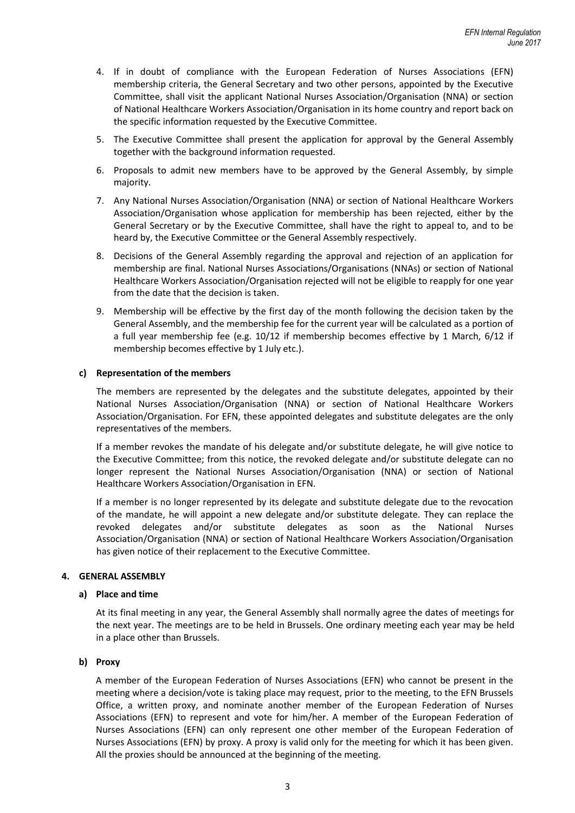- 4. If in doubt of compliance with the European Federation of Nurses Associations (EFN) membership criteria, the General Secretary and two other persons, appointed by the Executive Committee, shall visit the applicant National Nurses Association/Organisation (NNA) or section of National Healthcare Workers Association/Organisation in its home country and report back on the specific information requested by the Executive Committee.
- 5. The Executive Committee shall present the application for approval by the General Assembly together with the background information requested.
- 6. Proposals to admit new members have to be approved by the General Assembly, by simple majority.
- 7. Any National Nurses Association/Organisation (NNA) or section of National Healthcare Workers Association/Organisation whose application for membership has been rejected, either by the General Secretary or by the Executive Committee, shall have the right to appeal to, and to be heard by, the Executive Committee or the General Assembly respectively.
- 8. Decisions of the General Assembly regarding the approval and rejection of an application for membership are final. National Nurses Associations/Organisations (NNAs) or section of National Healthcare Workers Association/Organisation rejected will not be eligible to reapply for one year from the date that the decision is taken.
- 9. Membership will be effective by the first day of the month following the decision taken by the General Assembly, and the membership fee for the current year will be calculated as a portion of a full year membership fee (e.g. 10/12 if membership becomes effective by 1 March, 6/12 if membership becomes effective by 1 July etc.).

## **c) Representation of the members**

The members are represented by the delegates and the substitute delegates, appointed by their National Nurses Association/Organisation (NNA) or section of National Healthcare Workers Association/Organisation. For EFN, these appointed delegates and substitute delegates are the only representatives of the members.

If a member revokes the mandate of his delegate and/or substitute delegate, he will give notice to the Executive Committee; from this notice, the revoked delegate and/or substitute delegate can no longer represent the National Nurses Association/Organisation (NNA) or section of National Healthcare Workers Association/Organisation in EFN.

If a member is no longer represented by its delegate and substitute delegate due to the revocation of the mandate, he will appoint a new delegate and/or substitute delegate. They can replace the revoked delegates and/or substitute delegates as soon as the National Nurses Association/Organisation (NNA) or section of National Healthcare Workers Association/Organisation has given notice of their replacement to the Executive Committee.

## **4. GENERAL ASSEMBLY**

### **a) Place and time**

At its final meeting in any year, the General Assembly shall normally agree the dates of meetings for the next year. The meetings are to be held in Brussels. One ordinary meeting each year may be held in a place other than Brussels.

## **b) Proxy**

A member of the European Federation of Nurses Associations (EFN) who cannot be present in the meeting where a decision/vote is taking place may request, prior to the meeting, to the EFN Brussels Office, a written proxy, and nominate another member of the European Federation of Nurses Associations (EFN) to represent and vote for him/her. A member of the European Federation of Nurses Associations (EFN) can only represent one other member of the European Federation of Nurses Associations (EFN) by proxy. A proxy is valid only for the meeting for which it has been given. All the proxies should be announced at the beginning of the meeting.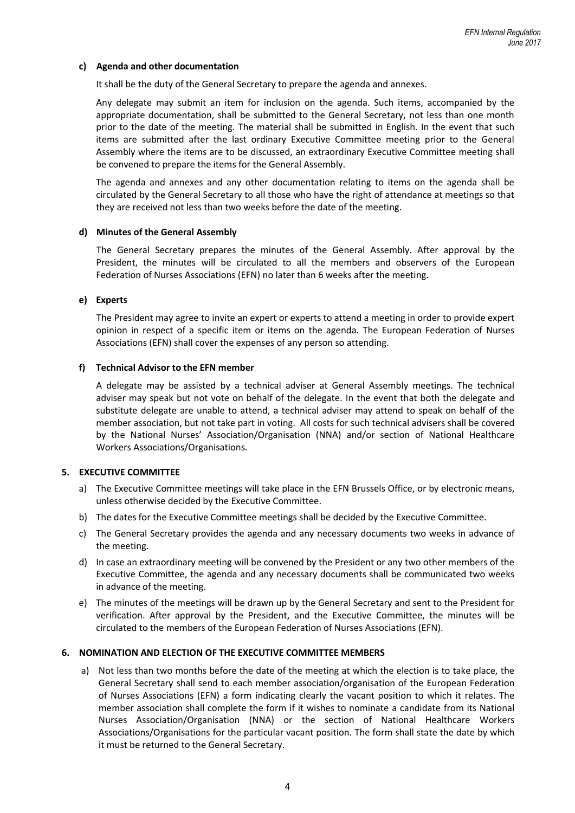## **c) Agenda and other documentation**

It shall be the duty of the General Secretary to prepare the agenda and annexes.

Any delegate may submit an item for inclusion on the agenda. Such items, accompanied by the appropriate documentation, shall be submitted to the General Secretary, not less than one month prior to the date of the meeting. The material shall be submitted in English. In the event that such items are submitted after the last ordinary Executive Committee meeting prior to the General Assembly where the items are to be discussed, an extraordinary Executive Committee meeting shall be convened to prepare the items for the General Assembly.

The agenda and annexes and any other documentation relating to items on the agenda shall be circulated by the General Secretary to all those who have the right of attendance at meetings so that they are received not less than two weeks before the date of the meeting.

### **d) Minutes of the General Assembly**

The General Secretary prepares the minutes of the General Assembly. After approval by the President, the minutes will be circulated to all the members and observers of the European Federation of Nurses Associations (EFN) no later than 6 weeks after the meeting.

### **e) Experts**

The President may agree to invite an expert or experts to attend a meeting in order to provide expert opinion in respect of a specific item or items on the agenda. The European Federation of Nurses Associations (EFN) shall cover the expenses of any person so attending.

#### **f) Technical Advisor to the EFN member**

A delegate may be assisted by a technical adviser at General Assembly meetings. The technical adviser may speak but not vote on behalf of the delegate. In the event that both the delegate and substitute delegate are unable to attend, a technical adviser may attend to speak on behalf of the member association, but not take part in voting. All costs for such technical advisers shall be covered by the National Nurses' Association/Organisation (NNA) and/or section of National Healthcare Workers Associations/Organisations.

### **5. EXECUTIVE COMMITTEE**

- a) The Executive Committee meetings will take place in the EFN Brussels Office, or by electronic means, unless otherwise decided by the Executive Committee.
- b) The dates for the Executive Committee meetings shall be decided by the Executive Committee.
- c) The General Secretary provides the agenda and any necessary documents two weeks in advance of the meeting.
- d) In case an extraordinary meeting will be convened by the President or any two other members of the Executive Committee, the agenda and any necessary documents shall be communicated two weeks in advance of the meeting.
- e) The minutes of the meetings will be drawn up by the General Secretary and sent to the President for verification. After approval by the President, and the Executive Committee, the minutes will be circulated to the members of the European Federation of Nurses Associations (EFN).

#### **6. NOMINATION AND ELECTION OF THE EXECUTIVE COMMITTEE MEMBERS**

a) Not less than two months before the date of the meeting at which the election is to take place, the General Secretary shall send to each member association/organisation of the European Federation of Nurses Associations (EFN) a form indicating clearly the vacant position to which it relates. The member association shall complete the form if it wishes to nominate a candidate from its National Nurses Association/Organisation (NNA) or the section of National Healthcare Workers Associations/Organisations for the particular vacant position. The form shall state the date by which it must be returned to the General Secretary.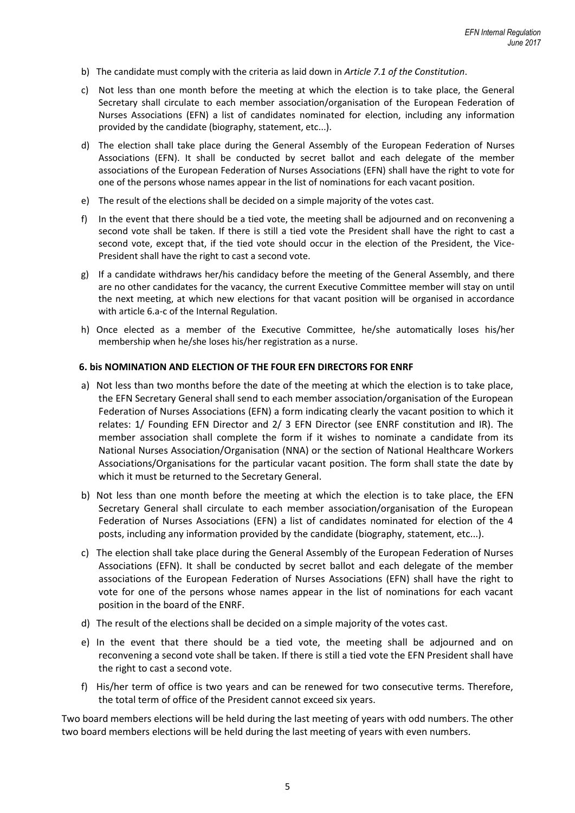- b) The candidate must comply with the criteria as laid down in *Article 7.1 of the Constitution*.
- c) Not less than one month before the meeting at which the election is to take place, the General Secretary shall circulate to each member association/organisation of the European Federation of Nurses Associations (EFN) a list of candidates nominated for election, including any information provided by the candidate (biography, statement, etc...).
- d) The election shall take place during the General Assembly of the European Federation of Nurses Associations (EFN). It shall be conducted by secret ballot and each delegate of the member associations of the European Federation of Nurses Associations (EFN) shall have the right to vote for one of the persons whose names appear in the list of nominations for each vacant position.
- e) The result of the elections shall be decided on a simple majority of the votes cast.
- f) In the event that there should be a tied vote, the meeting shall be adjourned and on reconvening a second vote shall be taken. If there is still a tied vote the President shall have the right to cast a second vote, except that, if the tied vote should occur in the election of the President, the Vice-President shall have the right to cast a second vote.
- g) If a candidate withdraws her/his candidacy before the meeting of the General Assembly, and there are no other candidates for the vacancy, the current Executive Committee member will stay on until the next meeting, at which new elections for that vacant position will be organised in accordance with article 6.a-c of the Internal Regulation.
- h) Once elected as a member of the Executive Committee, he/she automatically loses his/her membership when he/she loses his/her registration as a nurse.

## **6. bis NOMINATION AND ELECTION OF THE FOUR EFN DIRECTORS FOR ENRF**

- a) Not less than two months before the date of the meeting at which the election is to take place, the EFN Secretary General shall send to each member association/organisation of the European Federation of Nurses Associations (EFN) a form indicating clearly the vacant position to which it relates: 1/ Founding EFN Director and 2/ 3 EFN Director (see ENRF constitution and IR). The member association shall complete the form if it wishes to nominate a candidate from its National Nurses Association/Organisation (NNA) or the section of National Healthcare Workers Associations/Organisations for the particular vacant position. The form shall state the date by which it must be returned to the Secretary General.
- b) Not less than one month before the meeting at which the election is to take place, the EFN Secretary General shall circulate to each member association/organisation of the European Federation of Nurses Associations (EFN) a list of candidates nominated for election of the 4 posts, including any information provided by the candidate (biography, statement, etc...).
- c) The election shall take place during the General Assembly of the European Federation of Nurses Associations (EFN). It shall be conducted by secret ballot and each delegate of the member associations of the European Federation of Nurses Associations (EFN) shall have the right to vote for one of the persons whose names appear in the list of nominations for each vacant position in the board of the ENRF.
- d) The result of the elections shall be decided on a simple majority of the votes cast.
- e) In the event that there should be a tied vote, the meeting shall be adjourned and on reconvening a second vote shall be taken. If there is still a tied vote the EFN President shall have the right to cast a second vote.
- f) His/her term of office is two years and can be renewed for two consecutive terms. Therefore, the total term of office of the President cannot exceed six years.

Two board members elections will be held during the last meeting of years with odd numbers. The other two board members elections will be held during the last meeting of years with even numbers.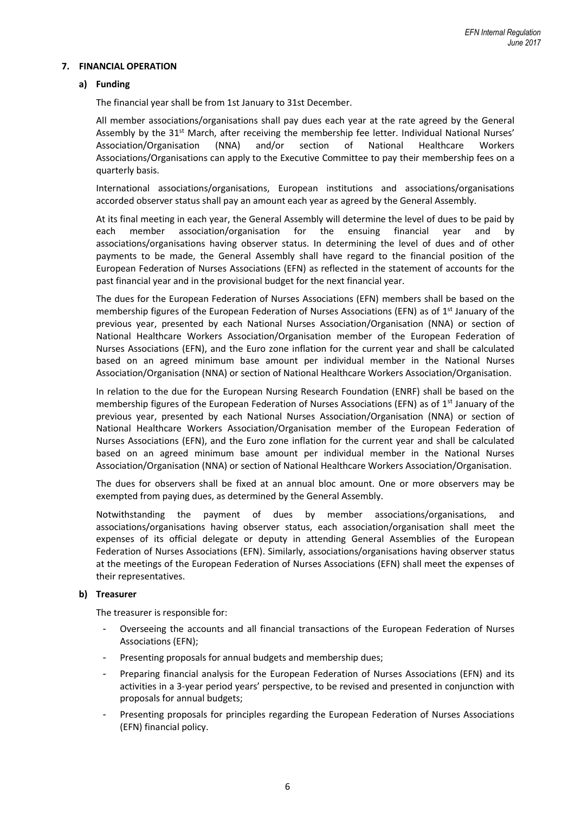## **7. FINANCIAL OPERATION**

## **a) Funding**

The financial year shall be from 1st January to 31st December.

All member associations/organisations shall pay dues each year at the rate agreed by the General Assembly by the 31<sup>st</sup> March, after receiving the membership fee letter. Individual National Nurses' Association/Organisation (NNA) and/or section of National Healthcare Workers Associations/Organisations can apply to the Executive Committee to pay their membership fees on a quarterly basis.

International associations/organisations, European institutions and associations/organisations accorded observer status shall pay an amount each year as agreed by the General Assembly.

At its final meeting in each year, the General Assembly will determine the level of dues to be paid by each member association/organisation for the ensuing financial year and by associations/organisations having observer status. In determining the level of dues and of other payments to be made, the General Assembly shall have regard to the financial position of the European Federation of Nurses Associations (EFN) as reflected in the statement of accounts for the past financial year and in the provisional budget for the next financial year.

The dues for the European Federation of Nurses Associations (EFN) members shall be based on the membership figures of the European Federation of Nurses Associations (EFN) as of 1<sup>st</sup> January of the previous year, presented by each National Nurses Association/Organisation (NNA) or section of National Healthcare Workers Association/Organisation member of the European Federation of Nurses Associations (EFN), and the Euro zone inflation for the current year and shall be calculated based on an agreed minimum base amount per individual member in the National Nurses Association/Organisation (NNA) or section of National Healthcare Workers Association/Organisation.

In relation to the due for the European Nursing Research Foundation (ENRF) shall be based on the membership figures of the European Federation of Nurses Associations (EFN) as of 1<sup>st</sup> January of the previous year, presented by each National Nurses Association/Organisation (NNA) or section of National Healthcare Workers Association/Organisation member of the European Federation of Nurses Associations (EFN), and the Euro zone inflation for the current year and shall be calculated based on an agreed minimum base amount per individual member in the National Nurses Association/Organisation (NNA) or section of National Healthcare Workers Association/Organisation.

The dues for observers shall be fixed at an annual bloc amount. One or more observers may be exempted from paying dues, as determined by the General Assembly.

Notwithstanding the payment of dues by member associations/organisations, and associations/organisations having observer status, each association/organisation shall meet the expenses of its official delegate or deputy in attending General Assemblies of the European Federation of Nurses Associations (EFN). Similarly, associations/organisations having observer status at the meetings of the European Federation of Nurses Associations (EFN) shall meet the expenses of their representatives.

### **b) Treasurer**

The treasurer is responsible for:

- Overseeing the accounts and all financial transactions of the European Federation of Nurses Associations (EFN);
- Presenting proposals for annual budgets and membership dues;
- Preparing financial analysis for the European Federation of Nurses Associations (EFN) and its activities in a 3-year period years' perspective, to be revised and presented in conjunction with proposals for annual budgets;
- Presenting proposals for principles regarding the European Federation of Nurses Associations (EFN) financial policy.